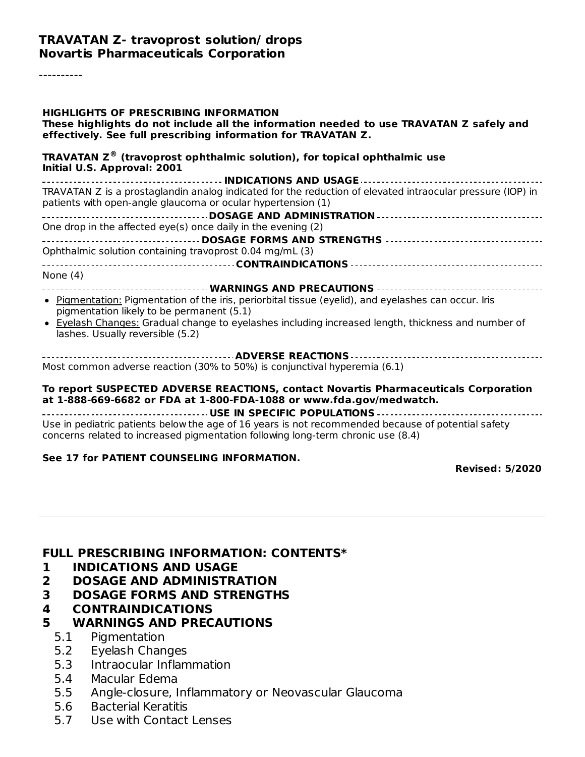#### **TRAVATAN Z- travoprost solution/ drops Novartis Pharmaceuticals Corporation**

----------

| <b>HIGHLIGHTS OF PRESCRIBING INFORMATION</b><br>These highlights do not include all the information needed to use TRAVATAN Z safely and<br>effectively. See full prescribing information for TRAVATAN Z. |
|----------------------------------------------------------------------------------------------------------------------------------------------------------------------------------------------------------|
| <b>TRAVATAN Z<sup>®</sup></b> (travoprost ophthalmic solution), for topical ophthalmic use<br>Initial U.S. Approval: 2001                                                                                |
|                                                                                                                                                                                                          |
| TRAVATAN Z is a prostaglandin analog indicated for the reduction of elevated intraocular pressure (IOP) in<br>patients with open-angle glaucoma or ocular hypertension (1)                               |
|                                                                                                                                                                                                          |
| One drop in the affected eye(s) once daily in the evening (2)                                                                                                                                            |
|                                                                                                                                                                                                          |
| Ophthalmic solution containing travoprost 0.04 mg/mL (3)                                                                                                                                                 |
|                                                                                                                                                                                                          |
| None $(4)$                                                                                                                                                                                               |
|                                                                                                                                                                                                          |
| • Pigmentation: Pigmentation of the iris, periorbital tissue (eyelid), and eyelashes can occur. Iris<br>pigmentation likely to be permanent (5.1)                                                        |
| • Eyelash Changes: Gradual change to eyelashes including increased length, thickness and number of<br>lashes. Usually reversible (5.2)                                                                   |
|                                                                                                                                                                                                          |
| Most common adverse reaction (30% to 50%) is conjunctival hyperemia (6.1)                                                                                                                                |
| To report SUSPECTED ADVERSE REACTIONS, contact Novartis Pharmaceuticals Corporation<br>at 1-888-669-6682 or FDA at 1-800-FDA-1088 or www.fda.gov/medwatch.                                               |
| Use in pediatric patients below the age of 16 years is not recommended because of potential safety<br>concerns related to increased pigmentation following long-term chronic use (8.4)                   |

#### **See 17 for PATIENT COUNSELING INFORMATION.**

**Revised: 5/2020**

#### **FULL PRESCRIBING INFORMATION: CONTENTS\***

- **1 INDICATIONS AND USAGE**
- **2 DOSAGE AND ADMINISTRATION**
- **3 DOSAGE FORMS AND STRENGTHS**
- **4 CONTRAINDICATIONS**

#### **5 WARNINGS AND PRECAUTIONS**

- 5.1 Pigmentation
- 5.2 Eyelash Changes
- 5.3 Intraocular Inflammation
- 5.4 Macular Edema
- 5.5 Angle-closure, Inflammatory or Neovascular Glaucoma
- 5.6 Bacterial Keratitis
- 5.7 Use with Contact Lenses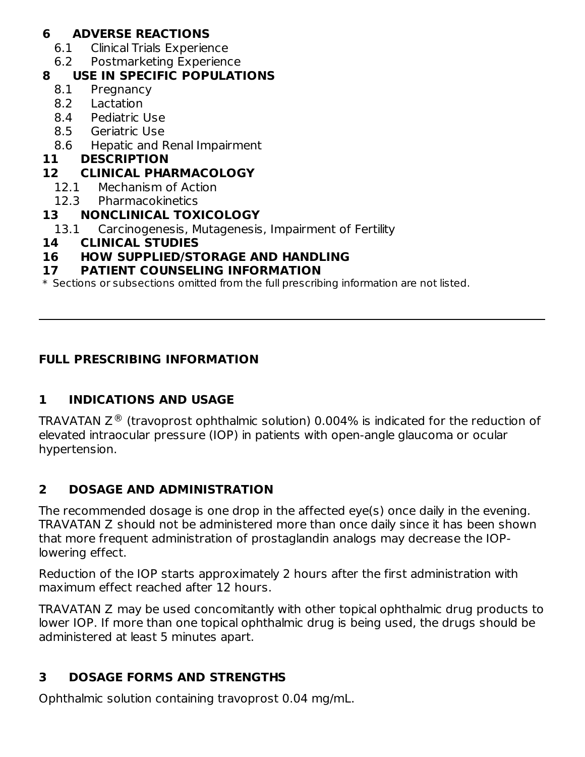## **6 ADVERSE REACTIONS**

- 6.1 Clinical Trials Experience
- 6.2 Postmarketing Experience

### **8 USE IN SPECIFIC POPULATIONS**

- 8.1 Pregnancy
- 8.2 Lactation
- 8.4 Pediatric Use
- 8.5 Geriatric Use
- 8.6 Hepatic and Renal Impairment

### **11 DESCRIPTION**

### **12 CLINICAL PHARMACOLOGY**

- 12.1 Mechanism of Action
- 12.3 Pharmacokinetics

## **13 NONCLINICAL TOXICOLOGY**

- 13.1 Carcinogenesis, Mutagenesis, Impairment of Fertility
- **14 CLINICAL STUDIES**

## **16 HOW SUPPLIED/STORAGE AND HANDLING**

### **17 PATIENT COUNSELING INFORMATION**

\* Sections or subsections omitted from the full prescribing information are not listed.

## **FULL PRESCRIBING INFORMATION**

# **1 INDICATIONS AND USAGE**

<code>TRAVATAN</code> Z  $^\circledR$  (travoprost ophthalmic solution) 0.004% is indicated for the reduction of elevated intraocular pressure (IOP) in patients with open-angle glaucoma or ocular hypertension.

# **2 DOSAGE AND ADMINISTRATION**

The recommended dosage is one drop in the affected eye(s) once daily in the evening. TRAVATAN Z should not be administered more than once daily since it has been shown that more frequent administration of prostaglandin analogs may decrease the IOPlowering effect.

Reduction of the IOP starts approximately 2 hours after the first administration with maximum effect reached after 12 hours.

TRAVATAN Z may be used concomitantly with other topical ophthalmic drug products to lower IOP. If more than one topical ophthalmic drug is being used, the drugs should be administered at least 5 minutes apart.

# **3 DOSAGE FORMS AND STRENGTHS**

Ophthalmic solution containing travoprost 0.04 mg/mL.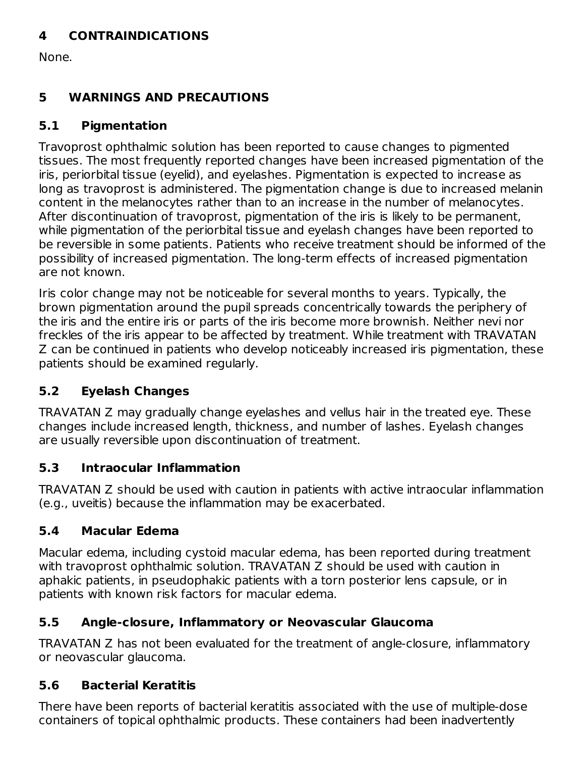# **4 CONTRAINDICATIONS**

None.

### **5 WARNINGS AND PRECAUTIONS**

## **5.1 Pigmentation**

Travoprost ophthalmic solution has been reported to cause changes to pigmented tissues. The most frequently reported changes have been increased pigmentation of the iris, periorbital tissue (eyelid), and eyelashes. Pigmentation is expected to increase as long as travoprost is administered. The pigmentation change is due to increased melanin content in the melanocytes rather than to an increase in the number of melanocytes. After discontinuation of travoprost, pigmentation of the iris is likely to be permanent, while pigmentation of the periorbital tissue and eyelash changes have been reported to be reversible in some patients. Patients who receive treatment should be informed of the possibility of increased pigmentation. The long-term effects of increased pigmentation are not known.

Iris color change may not be noticeable for several months to years. Typically, the brown pigmentation around the pupil spreads concentrically towards the periphery of the iris and the entire iris or parts of the iris become more brownish. Neither nevi nor freckles of the iris appear to be affected by treatment. While treatment with TRAVATAN Z can be continued in patients who develop noticeably increased iris pigmentation, these patients should be examined regularly.

# **5.2 Eyelash Changes**

TRAVATAN Z may gradually change eyelashes and vellus hair in the treated eye. These changes include increased length, thickness, and number of lashes. Eyelash changes are usually reversible upon discontinuation of treatment.

### **5.3 Intraocular Inflammation**

TRAVATAN Z should be used with caution in patients with active intraocular inflammation (e.g., uveitis) because the inflammation may be exacerbated.

### **5.4 Macular Edema**

Macular edema, including cystoid macular edema, has been reported during treatment with travoprost ophthalmic solution. TRAVATAN Z should be used with caution in aphakic patients, in pseudophakic patients with a torn posterior lens capsule, or in patients with known risk factors for macular edema.

### **5.5 Angle-closure, Inflammatory or Neovascular Glaucoma**

TRAVATAN Z has not been evaluated for the treatment of angle-closure, inflammatory or neovascular glaucoma.

### **5.6 Bacterial Keratitis**

There have been reports of bacterial keratitis associated with the use of multiple-dose containers of topical ophthalmic products. These containers had been inadvertently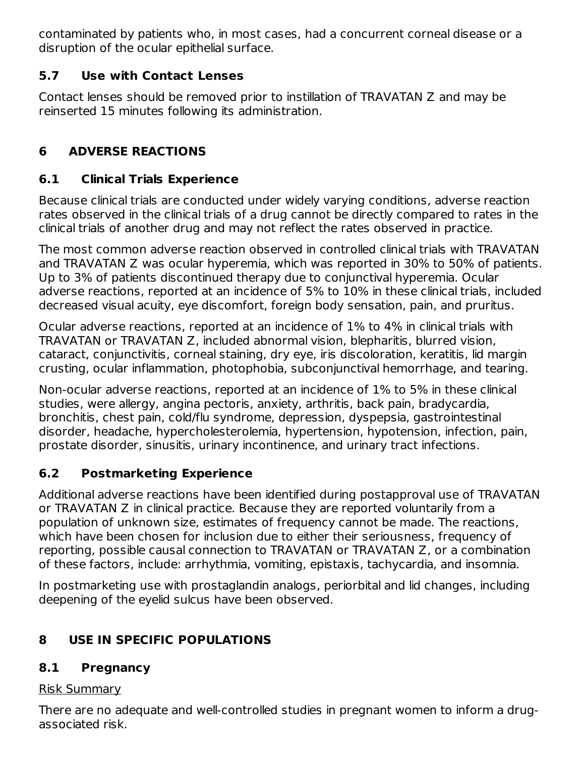contaminated by patients who, in most cases, had a concurrent corneal disease or a disruption of the ocular epithelial surface.

# **5.7 Use with Contact Lenses**

Contact lenses should be removed prior to instillation of TRAVATAN Z and may be reinserted 15 minutes following its administration.

# **6 ADVERSE REACTIONS**

# **6.1 Clinical Trials Experience**

Because clinical trials are conducted under widely varying conditions, adverse reaction rates observed in the clinical trials of a drug cannot be directly compared to rates in the clinical trials of another drug and may not reflect the rates observed in practice.

The most common adverse reaction observed in controlled clinical trials with TRAVATAN and TRAVATAN Z was ocular hyperemia, which was reported in 30% to 50% of patients. Up to 3% of patients discontinued therapy due to conjunctival hyperemia. Ocular adverse reactions, reported at an incidence of 5% to 10% in these clinical trials, included decreased visual acuity, eye discomfort, foreign body sensation, pain, and pruritus.

Ocular adverse reactions, reported at an incidence of 1% to 4% in clinical trials with TRAVATAN or TRAVATAN Z, included abnormal vision, blepharitis, blurred vision, cataract, conjunctivitis, corneal staining, dry eye, iris discoloration, keratitis, lid margin crusting, ocular inflammation, photophobia, subconjunctival hemorrhage, and tearing.

Non-ocular adverse reactions, reported at an incidence of 1% to 5% in these clinical studies, were allergy, angina pectoris, anxiety, arthritis, back pain, bradycardia, bronchitis, chest pain, cold/flu syndrome, depression, dyspepsia, gastrointestinal disorder, headache, hypercholesterolemia, hypertension, hypotension, infection, pain, prostate disorder, sinusitis, urinary incontinence, and urinary tract infections.

# **6.2 Postmarketing Experience**

Additional adverse reactions have been identified during postapproval use of TRAVATAN or TRAVATAN Z in clinical practice. Because they are reported voluntarily from a population of unknown size, estimates of frequency cannot be made. The reactions, which have been chosen for inclusion due to either their seriousness, frequency of reporting, possible causal connection to TRAVATAN or TRAVATAN Z, or a combination of these factors, include: arrhythmia, vomiting, epistaxis, tachycardia, and insomnia.

In postmarketing use with prostaglandin analogs, periorbital and lid changes, including deepening of the eyelid sulcus have been observed.

# **8 USE IN SPECIFIC POPULATIONS**

# **8.1 Pregnancy**

# Risk Summary

There are no adequate and well-controlled studies in pregnant women to inform a drugassociated risk.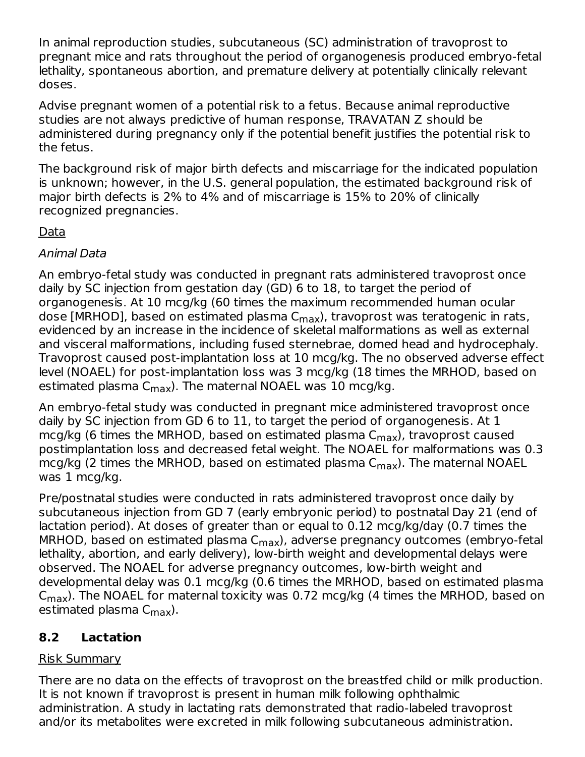In animal reproduction studies, subcutaneous (SC) administration of travoprost to pregnant mice and rats throughout the period of organogenesis produced embryo-fetal lethality, spontaneous abortion, and premature delivery at potentially clinically relevant doses.

Advise pregnant women of a potential risk to a fetus. Because animal reproductive studies are not always predictive of human response, TRAVATAN Z should be administered during pregnancy only if the potential benefit justifies the potential risk to the fetus.

The background risk of major birth defects and miscarriage for the indicated population is unknown; however, in the U.S. general population, the estimated background risk of major birth defects is 2% to 4% and of miscarriage is 15% to 20% of clinically recognized pregnancies.

### Data

### Animal Data

An embryo-fetal study was conducted in pregnant rats administered travoprost once daily by SC injection from gestation day (GD) 6 to 18, to target the period of organogenesis. At 10 mcg/kg (60 times the maximum recommended human ocular dose [MRHOD], based on estimated plasma C<sub>max</sub>), travoprost was teratogenic in rats, evidenced by an increase in the incidence of skeletal malformations as well as external and visceral malformations, including fused sternebrae, domed head and hydrocephaly. Travoprost caused post-implantation loss at 10 mcg/kg. The no observed adverse effect level (NOAEL) for post-implantation loss was 3 mcg/kg (18 times the MRHOD, based on estimated plasma C $_{\sf max}$ ). The maternal NOAEL was 10 mcg/kg.

An embryo-fetal study was conducted in pregnant mice administered travoprost once daily by SC injection from GD 6 to 11, to target the period of organogenesis. At 1 mcg/kg (6 times the MRHOD, based on estimated plasma C<sub>max</sub>), travoprost caused postimplantation loss and decreased fetal weight. The NOAEL for malformations was 0.3 mcg/kg (2 times the MRHOD, based on estimated plasma C<sub>max</sub>). The maternal NOAEL was 1 mcg/kg.

Pre/postnatal studies were conducted in rats administered travoprost once daily by subcutaneous injection from GD 7 (early embryonic period) to postnatal Day 21 (end of lactation period). At doses of greater than or equal to 0.12 mcg/kg/day (0.7 times the MRHOD, based on estimated plasma C<sub>max</sub>), adverse pregnancy outcomes (embryo-fetal lethality, abortion, and early delivery), low-birth weight and developmental delays were observed. The NOAEL for adverse pregnancy outcomes, low-birth weight and developmental delay was 0.1 mcg/kg (0.6 times the MRHOD, based on estimated plasma C $_{\sf max}$ ). The NOAEL for maternal toxicity was 0.72 mcg/kg (4 times the MRHOD, based on estimated plasma C<sub>max</sub>).

### **8.2 Lactation**

# Risk Summary

There are no data on the effects of travoprost on the breastfed child or milk production. It is not known if travoprost is present in human milk following ophthalmic administration. A study in lactating rats demonstrated that radio-labeled travoprost and/or its metabolites were excreted in milk following subcutaneous administration.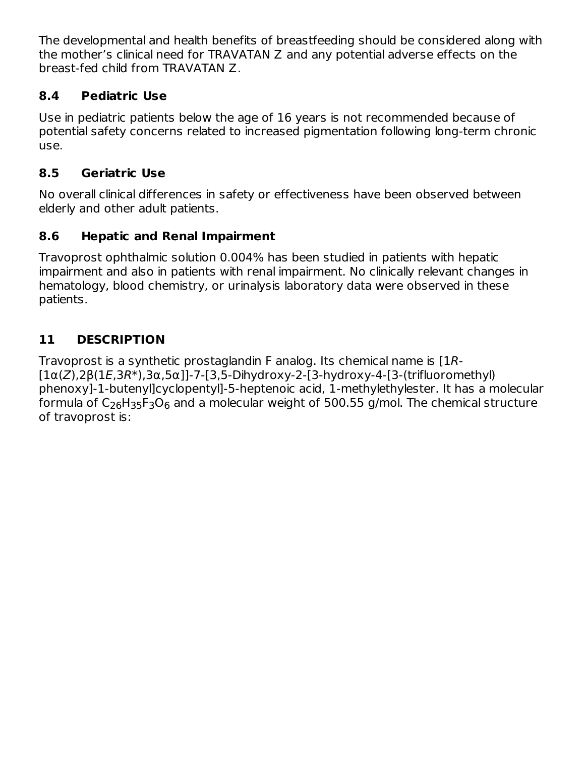The developmental and health benefits of breastfeeding should be considered along with the mother's clinical need for TRAVATAN Z and any potential adverse effects on the breast-fed child from TRAVATAN Z.

# **8.4 Pediatric Use**

Use in pediatric patients below the age of 16 years is not recommended because of potential safety concerns related to increased pigmentation following long-term chronic use.

### **8.5 Geriatric Use**

No overall clinical differences in safety or effectiveness have been observed between elderly and other adult patients.

## **8.6 Hepatic and Renal Impairment**

Travoprost ophthalmic solution 0.004% has been studied in patients with hepatic impairment and also in patients with renal impairment. No clinically relevant changes in hematology, blood chemistry, or urinalysis laboratory data were observed in these patients.

# **11 DESCRIPTION**

Travoprost is a synthetic prostaglandin F analog. Its chemical name is [1R-  $[1\alpha(Z), 2\beta(1E, 3R^*), 3\alpha, 5\alpha]$ ]-7-[3,5-Dihydroxy-2-[3-hydroxy-4-[3-(trifluoromethyl) phenoxy]-1-butenyl]cyclopentyl]-5-heptenoic acid, 1-methylethylester. It has a molecular formula of C $_{\rm 26}$ H $_{\rm 35}$ F $_{\rm 3}$ O $_{\rm 6}$  and a molecular weight of 500.55 g/mol. The chemical structure of travoprost is: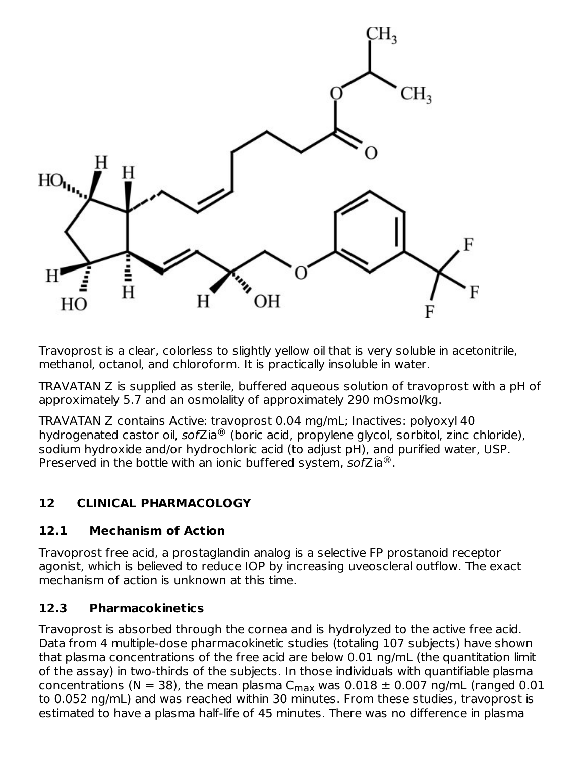

Travoprost is a clear, colorless to slightly yellow oil that is very soluble in acetonitrile, methanol, octanol, and chloroform. It is practically insoluble in water.

TRAVATAN Z is supplied as sterile, buffered aqueous solution of travoprost with a pH of approximately 5.7 and an osmolality of approximately 290 mOsmol/kg.

TRAVATAN Z contains Active: travoprost 0.04 mg/mL; Inactives: polyoxyl 40 hydrogenated castor oil, sofZia® (boric acid, propylene glycol, sorbitol, zinc chloride), sodium hydroxide and/or hydrochloric acid (to adjust pH), and purified water, USP. Preserved in the bottle with an ionic buffered system,  $\text{softmax}^{\textcircled{\tiny{\textregistered}}}.$ 

# **12 CLINICAL PHARMACOLOGY**

### **12.1 Mechanism of Action**

Travoprost free acid, a prostaglandin analog is a selective FP prostanoid receptor agonist, which is believed to reduce IOP by increasing uveoscleral outflow. The exact mechanism of action is unknown at this time.

### **12.3 Pharmacokinetics**

Travoprost is absorbed through the cornea and is hydrolyzed to the active free acid. Data from 4 multiple-dose pharmacokinetic studies (totaling 107 subjects) have shown that plasma concentrations of the free acid are below 0.01 ng/mL (the quantitation limit of the assay) in two-thirds of the subjects. In those individuals with quantifiable plasma concentrations (N = 38), the mean plasma C $_{\sf max}$  was 0.018  $\pm$  0.007 ng/mL (ranged 0.01 to 0.052 ng/mL) and was reached within 30 minutes. From these studies, travoprost is estimated to have a plasma half-life of 45 minutes. There was no difference in plasma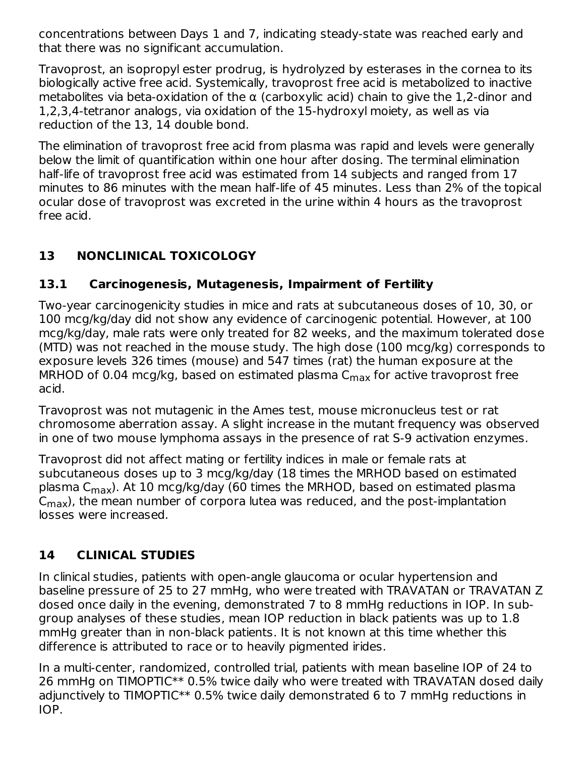concentrations between Days 1 and 7, indicating steady-state was reached early and that there was no significant accumulation.

Travoprost, an isopropyl ester prodrug, is hydrolyzed by esterases in the cornea to its biologically active free acid. Systemically, travoprost free acid is metabolized to inactive metabolites via beta-oxidation of the  $\alpha$  (carboxylic acid) chain to give the 1,2-dinor and 1,2,3,4-tetranor analogs, via oxidation of the 15-hydroxyl moiety, as well as via reduction of the 13, 14 double bond.

The elimination of travoprost free acid from plasma was rapid and levels were generally below the limit of quantification within one hour after dosing. The terminal elimination half-life of travoprost free acid was estimated from 14 subjects and ranged from 17 minutes to 86 minutes with the mean half-life of 45 minutes. Less than 2% of the topical ocular dose of travoprost was excreted in the urine within 4 hours as the travoprost free acid.

# **13 NONCLINICAL TOXICOLOGY**

## **13.1 Carcinogenesis, Mutagenesis, Impairment of Fertility**

Two-year carcinogenicity studies in mice and rats at subcutaneous doses of 10, 30, or 100 mcg/kg/day did not show any evidence of carcinogenic potential. However, at 100 mcg/kg/day, male rats were only treated for 82 weeks, and the maximum tolerated dose (MTD) was not reached in the mouse study. The high dose (100 mcg/kg) corresponds to exposure levels 326 times (mouse) and 547 times (rat) the human exposure at the MRHOD of 0.04 mcg/kg, based on estimated plasma  $\mathsf{C}_{\mathsf{max}}$  for active travoprost free acid.

Travoprost was not mutagenic in the Ames test, mouse micronucleus test or rat chromosome aberration assay. A slight increase in the mutant frequency was observed in one of two mouse lymphoma assays in the presence of rat S-9 activation enzymes.

Travoprost did not affect mating or fertility indices in male or female rats at subcutaneous doses up to 3 mcg/kg/day (18 times the MRHOD based on estimated plasma C<sub>max</sub>). At 10 mcg/kg/day (60 times the MRHOD, based on estimated plasma  $\mathsf{C}_{\mathsf{max}}$ ), the mean number of corpora lutea was reduced, and the post-implantation losses were increased.

# **14 CLINICAL STUDIES**

In clinical studies, patients with open-angle glaucoma or ocular hypertension and baseline pressure of 25 to 27 mmHg, who were treated with TRAVATAN or TRAVATAN Z dosed once daily in the evening, demonstrated 7 to 8 mmHg reductions in IOP. In subgroup analyses of these studies, mean IOP reduction in black patients was up to 1.8 mmHg greater than in non-black patients. It is not known at this time whether this difference is attributed to race or to heavily pigmented irides.

In a multi-center, randomized, controlled trial, patients with mean baseline IOP of 24 to 26 mmHg on TIMOPTIC\*\* 0.5% twice daily who were treated with TRAVATAN dosed daily adjunctively to TIMOPTIC\*\* 0.5% twice daily demonstrated 6 to 7 mmHg reductions in IOP.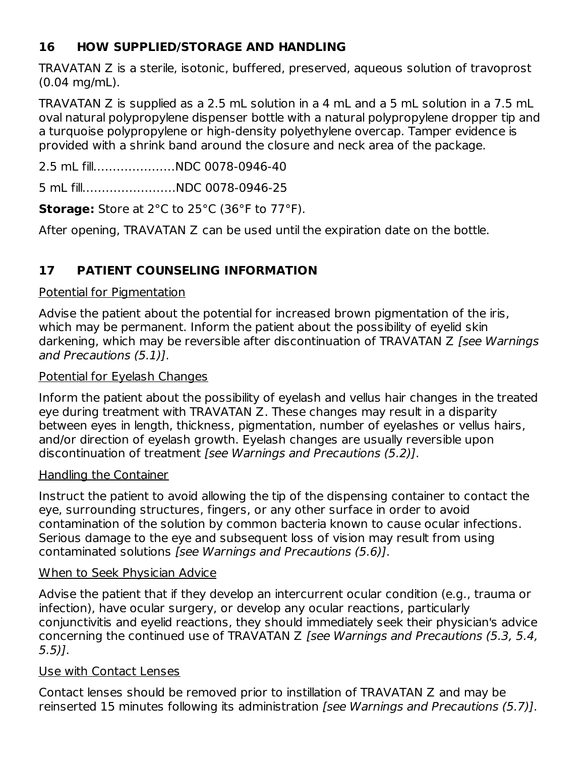## **16 HOW SUPPLIED/STORAGE AND HANDLING**

TRAVATAN Z is a sterile, isotonic, buffered, preserved, aqueous solution of travoprost (0.04 mg/mL).

TRAVATAN Z is supplied as a 2.5 mL solution in a 4 mL and a 5 mL solution in a 7.5 mL oval natural polypropylene dispenser bottle with a natural polypropylene dropper tip and a turquoise polypropylene or high-density polyethylene overcap. Tamper evidence is provided with a shrink band around the closure and neck area of the package.

2.5 mL fill…………………NDC 0078-0946-40

5 mL fill……………………NDC 0078-0946-25

**Storage:** Store at 2°C to 25°C (36°F to 77°F).

After opening, TRAVATAN Z can be used until the expiration date on the bottle.

# **17 PATIENT COUNSELING INFORMATION**

### Potential for Pigmentation

Advise the patient about the potential for increased brown pigmentation of the iris, which may be permanent. Inform the patient about the possibility of eyelid skin darkening, which may be reversible after discontinuation of TRAVATAN Z [see Warnings and Precautions (5.1)].

### Potential for Eyelash Changes

Inform the patient about the possibility of eyelash and vellus hair changes in the treated eye during treatment with TRAVATAN Z. These changes may result in a disparity between eyes in length, thickness, pigmentation, number of eyelashes or vellus hairs, and/or direction of eyelash growth. Eyelash changes are usually reversible upon discontinuation of treatment [see Warnings and Precautions (5.2)].

### Handling the Container

Instruct the patient to avoid allowing the tip of the dispensing container to contact the eye, surrounding structures, fingers, or any other surface in order to avoid contamination of the solution by common bacteria known to cause ocular infections. Serious damage to the eye and subsequent loss of vision may result from using contaminated solutions [see Warnings and Precautions (5.6)].

### When to Seek Physician Advice

Advise the patient that if they develop an intercurrent ocular condition (e.g., trauma or infection), have ocular surgery, or develop any ocular reactions, particularly conjunctivitis and eyelid reactions, they should immediately seek their physician's advice concerning the continued use of TRAVATAN Z [see Warnings and Precautions (5.3, 5.4, 5.5)].

### Use with Contact Lenses

Contact lenses should be removed prior to instillation of TRAVATAN Z and may be reinserted 15 minutes following its administration [see Warnings and Precautions (5.7)].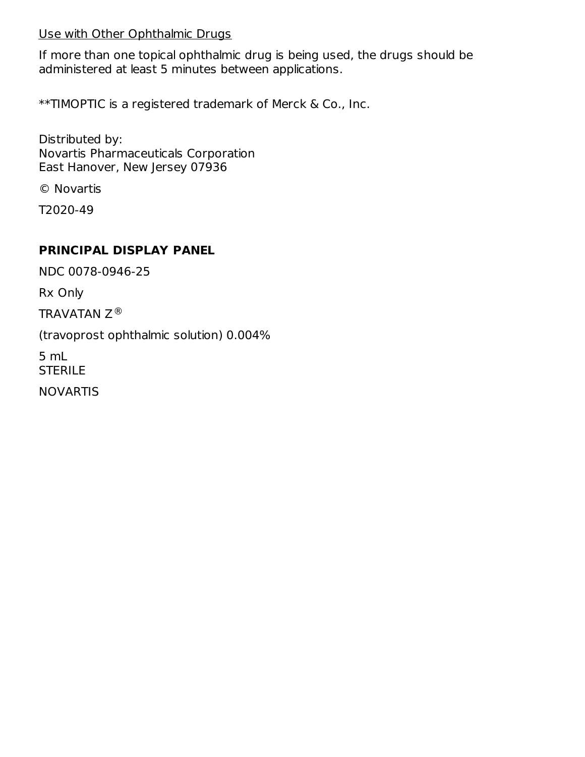Use with Other Ophthalmic Drugs

If more than one topical ophthalmic drug is being used, the drugs should be administered at least 5 minutes between applications.

\*\*TIMOPTIC is a registered trademark of Merck & Co., Inc.

Distributed by: Novartis Pharmaceuticals Corporation East Hanover, New Jersey 07936

© Novartis

T2020-49

### **PRINCIPAL DISPLAY PANEL**

NDC 0078-0946-25

Rx Only

TRAVATAN Z $^{\circledR}$ 

(travoprost ophthalmic solution) 0.004%

5 mL **STERILE** 

NOVARTIS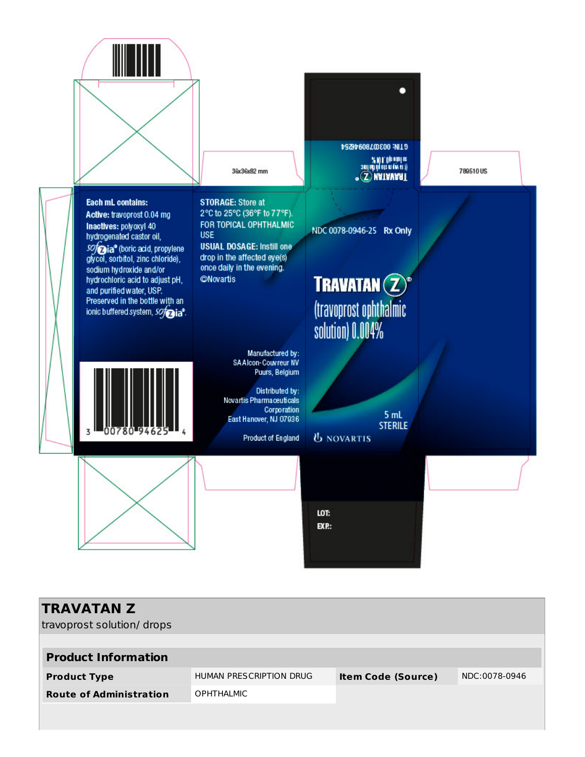

| <b>TRAVATAN Z</b><br>travoprost solution/drops |                         |                           |               |  |  |  |
|------------------------------------------------|-------------------------|---------------------------|---------------|--|--|--|
|                                                |                         |                           |               |  |  |  |
| <b>Product Information</b>                     |                         |                           |               |  |  |  |
| <b>Product Type</b>                            | HUMAN PRESCRIPTION DRUG | <b>Item Code (Source)</b> | NDC:0078-0946 |  |  |  |
| <b>Route of Administration</b>                 | <b>OPHTHALMIC</b>       |                           |               |  |  |  |
|                                                |                         |                           |               |  |  |  |
|                                                |                         |                           |               |  |  |  |